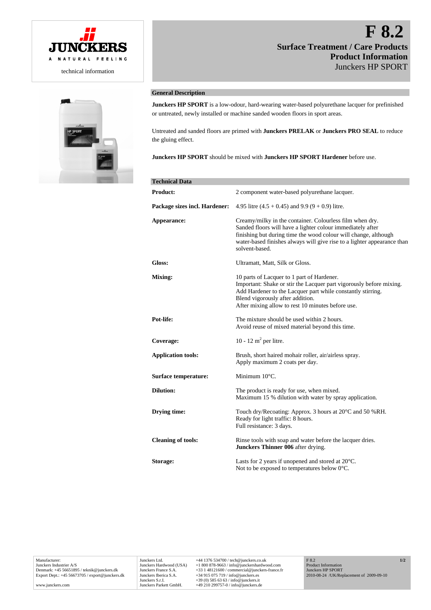

# **F 8.2 Surface Treatment / Care Products Product Information**  Junckers HP SPORT



## **General Description**

**Junckers HP SPORT** is a low-odour, hard-wearing water-based polyurethane lacquer for prefinished or untreated, newly installed or machine sanded wooden floors in sport areas.

Untreated and sanded floors are primed with **Junckers PRELAK** or **Junckers PRO SEAL** to reduce the gluing effect.

**Junckers HP SPORT** should be mixed with **Junckers HP SPORT Hardener** before use.

| <b>Technical Data</b>         |                                                                                                                                                                                                                                                                                        |
|-------------------------------|----------------------------------------------------------------------------------------------------------------------------------------------------------------------------------------------------------------------------------------------------------------------------------------|
| <b>Product:</b>               | 2 component water-based polyurethane lacquer.                                                                                                                                                                                                                                          |
| Package sizes incl. Hardener: | 4.95 litre $(4.5 + 0.45)$ and 9.9 $(9 + 0.9)$ litre.                                                                                                                                                                                                                                   |
| Appearance:                   | Creamy/milky in the container. Colourless film when dry.<br>Sanded floors will have a lighter colour immediately after<br>finishing but during time the wood colour will change, although<br>water-based finishes always will give rise to a lighter appearance than<br>solvent-based. |
| Gloss:                        | Ultramatt, Matt, Silk or Gloss.                                                                                                                                                                                                                                                        |
| Mixing:                       | 10 parts of Lacquer to 1 part of Hardener.<br>Important: Shake or stir the Lacquer part vigorously before mixing.<br>Add Hardener to the Lacquer part while constantly stirring.<br>Blend vigorously after addition.<br>After mixing allow to rest 10 minutes before use.              |
| Pot-life:                     | The mixture should be used within 2 hours.<br>Avoid reuse of mixed material beyond this time.                                                                                                                                                                                          |
| Coverage:                     | 10 - 12 m <sup>2</sup> per litre.                                                                                                                                                                                                                                                      |
| <b>Application tools:</b>     | Brush, short haired mohair roller, air/airless spray.<br>Apply maximum 2 coats per day.                                                                                                                                                                                                |
| Surface temperature:          | Minimum 10°C.                                                                                                                                                                                                                                                                          |
| <b>Dilution:</b>              | The product is ready for use, when mixed.<br>Maximum 15 % dilution with water by spray application.                                                                                                                                                                                    |
| Drying time:                  | Touch dry/Recoating: Approx. 3 hours at 20 <sup>o</sup> C and 50 %RH.<br>Ready for light traffic: 8 hours.<br>Full resistance: 3 days.                                                                                                                                                 |
| <b>Cleaning of tools:</b>     | Rinse tools with soap and water before the lacquer dries.<br>Junckers Thinner 006 after drying.                                                                                                                                                                                        |
| Storage:                      | Lasts for 2 years if unopened and stored at 20°C.<br>Not to be exposed to temperatures below $0^{\circ}$ C.                                                                                                                                                                            |

www.junckers.com

**1/2**